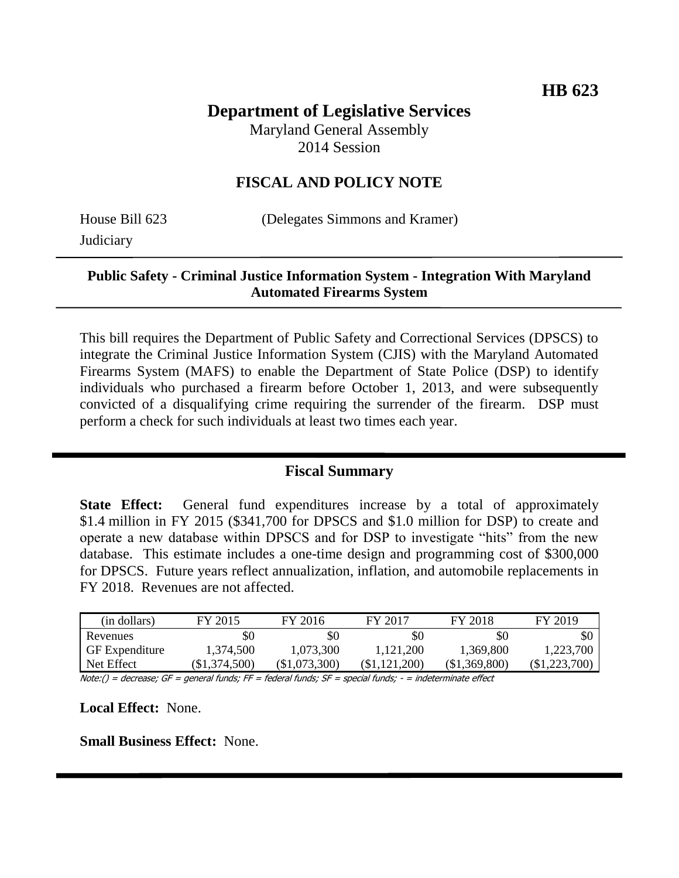# **Department of Legislative Services**

Maryland General Assembly 2014 Session

### **FISCAL AND POLICY NOTE**

**Judiciary** 

House Bill 623 (Delegates Simmons and Kramer)

#### **Public Safety - Criminal Justice Information System - Integration With Maryland Automated Firearms System**

This bill requires the Department of Public Safety and Correctional Services (DPSCS) to integrate the Criminal Justice Information System (CJIS) with the Maryland Automated Firearms System (MAFS) to enable the Department of State Police (DSP) to identify individuals who purchased a firearm before October 1, 2013, and were subsequently convicted of a disqualifying crime requiring the surrender of the firearm. DSP must perform a check for such individuals at least two times each year.

## **Fiscal Summary**

**State Effect:** General fund expenditures increase by a total of approximately \$1.4 million in FY 2015 (\$341,700 for DPSCS and \$1.0 million for DSP) to create and operate a new database within DPSCS and for DSP to investigate "hits" from the new database. This estimate includes a one-time design and programming cost of \$300,000 for DPSCS. Future years reflect annualization, inflation, and automobile replacements in FY 2018. Revenues are not affected.

| (in dollars)    | FY 2015         | FY 2016         | FY 2017       | FY 2018       | FY 2019         |
|-----------------|-----------------|-----------------|---------------|---------------|-----------------|
| Revenues        | \$0             | \$0             | \$C           | \$0           |                 |
| GF Expenditure  | 1,374,500       | 1.073.300       | 1.121.200     | 1,369,800     | 1.223.700       |
| Net Effect      | $(\$1,374,500)$ | $(\$1,073,300)$ | (\$1,121,200) | (\$1,369,800) | $(\$1,223,700)$ |
| $\cdots$<br>$-$ |                 |                 |               |               |                 |

Note:() = decrease; GF = general funds; FF = federal funds; SF = special funds; - = indeterminate effect

**Local Effect:** None.

**Small Business Effect:** None.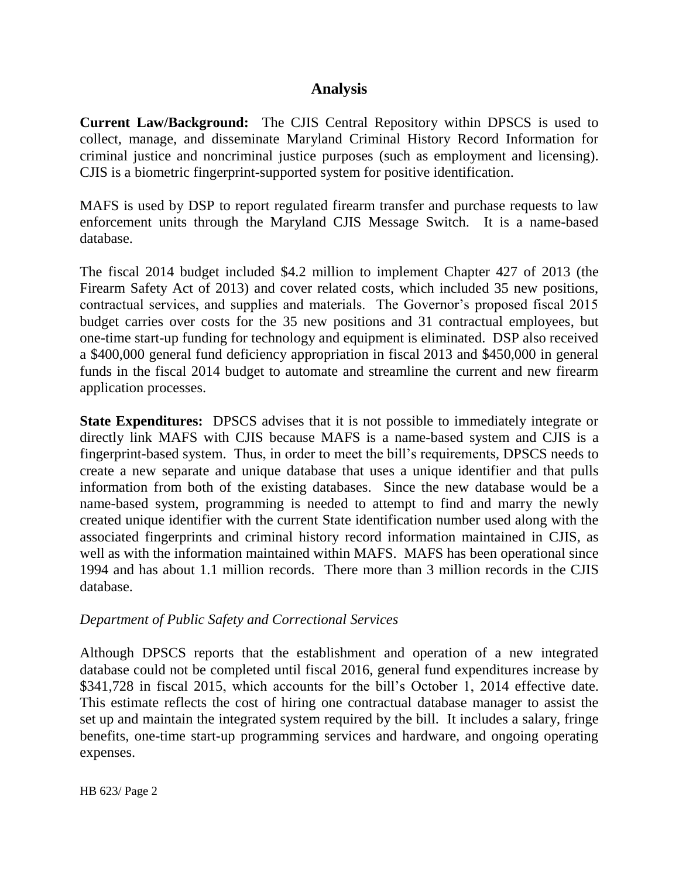#### **Analysis**

**Current Law/Background:** The CJIS Central Repository within DPSCS is used to collect, manage, and disseminate Maryland Criminal History Record Information for criminal justice and noncriminal justice purposes (such as employment and licensing). CJIS is a biometric fingerprint-supported system for positive identification.

MAFS is used by DSP to report regulated firearm transfer and purchase requests to law enforcement units through the Maryland CJIS Message Switch. It is a name-based database.

The fiscal 2014 budget included \$4.2 million to implement Chapter 427 of 2013 (the Firearm Safety Act of 2013) and cover related costs, which included 35 new positions, contractual services, and supplies and materials. The Governor's proposed fiscal 2015 budget carries over costs for the 35 new positions and 31 contractual employees, but one-time start-up funding for technology and equipment is eliminated. DSP also received a \$400,000 general fund deficiency appropriation in fiscal 2013 and \$450,000 in general funds in the fiscal 2014 budget to automate and streamline the current and new firearm application processes.

**State Expenditures:** DPSCS advises that it is not possible to immediately integrate or directly link MAFS with CJIS because MAFS is a name-based system and CJIS is a fingerprint-based system. Thus, in order to meet the bill's requirements, DPSCS needs to create a new separate and unique database that uses a unique identifier and that pulls information from both of the existing databases. Since the new database would be a name-based system, programming is needed to attempt to find and marry the newly created unique identifier with the current State identification number used along with the associated fingerprints and criminal history record information maintained in CJIS, as well as with the information maintained within MAFS. MAFS has been operational since 1994 and has about 1.1 million records. There more than 3 million records in the CJIS database.

#### *Department of Public Safety and Correctional Services*

Although DPSCS reports that the establishment and operation of a new integrated database could not be completed until fiscal 2016, general fund expenditures increase by \$341,728 in fiscal 2015, which accounts for the bill's October 1, 2014 effective date. This estimate reflects the cost of hiring one contractual database manager to assist the set up and maintain the integrated system required by the bill. It includes a salary, fringe benefits, one-time start-up programming services and hardware, and ongoing operating expenses.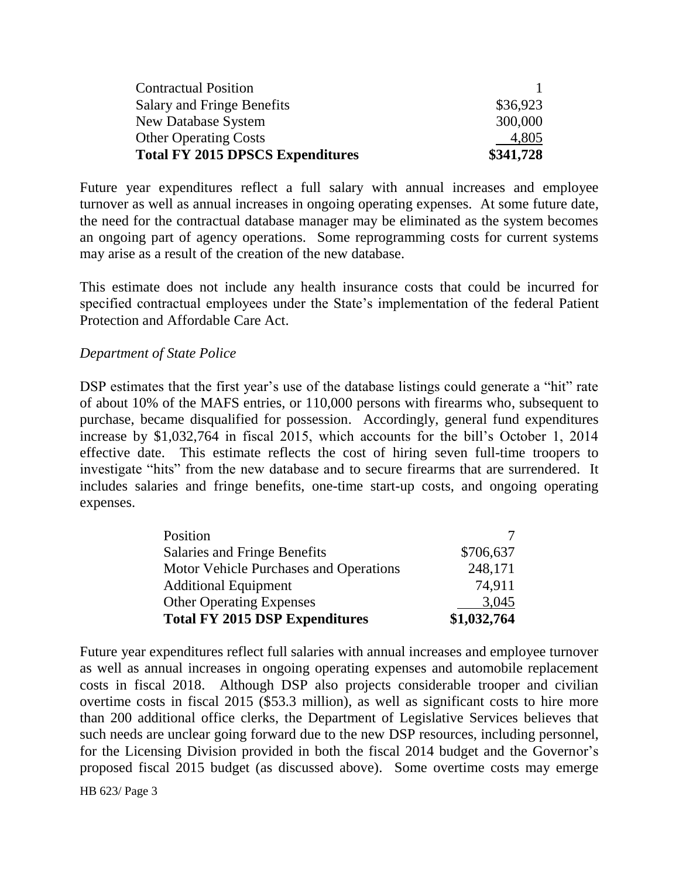| <b>Contractual Position</b>             |           |
|-----------------------------------------|-----------|
| Salary and Fringe Benefits              | \$36,923  |
| New Database System                     | 300,000   |
| <b>Other Operating Costs</b>            | 4,805     |
| <b>Total FY 2015 DPSCS Expenditures</b> | \$341,728 |

Future year expenditures reflect a full salary with annual increases and employee turnover as well as annual increases in ongoing operating expenses. At some future date, the need for the contractual database manager may be eliminated as the system becomes an ongoing part of agency operations. Some reprogramming costs for current systems may arise as a result of the creation of the new database.

This estimate does not include any health insurance costs that could be incurred for specified contractual employees under the State's implementation of the federal Patient Protection and Affordable Care Act.

#### *Department of State Police*

DSP estimates that the first year's use of the database listings could generate a "hit" rate of about 10% of the MAFS entries, or 110,000 persons with firearms who, subsequent to purchase, became disqualified for possession. Accordingly, general fund expenditures increase by \$1,032,764 in fiscal 2015, which accounts for the bill's October 1, 2014 effective date. This estimate reflects the cost of hiring seven full-time troopers to investigate "hits" from the new database and to secure firearms that are surrendered. It includes salaries and fringe benefits, one-time start-up costs, and ongoing operating expenses.

| Position                               |             |
|----------------------------------------|-------------|
| Salaries and Fringe Benefits           | \$706,637   |
| Motor Vehicle Purchases and Operations | 248,171     |
| <b>Additional Equipment</b>            | 74,911      |
| <b>Other Operating Expenses</b>        | 3,045       |
| <b>Total FY 2015 DSP Expenditures</b>  | \$1,032,764 |

Future year expenditures reflect full salaries with annual increases and employee turnover as well as annual increases in ongoing operating expenses and automobile replacement costs in fiscal 2018. Although DSP also projects considerable trooper and civilian overtime costs in fiscal 2015 (\$53.3 million), as well as significant costs to hire more than 200 additional office clerks, the Department of Legislative Services believes that such needs are unclear going forward due to the new DSP resources, including personnel, for the Licensing Division provided in both the fiscal 2014 budget and the Governor's proposed fiscal 2015 budget (as discussed above). Some overtime costs may emerge

HB 623/ Page 3